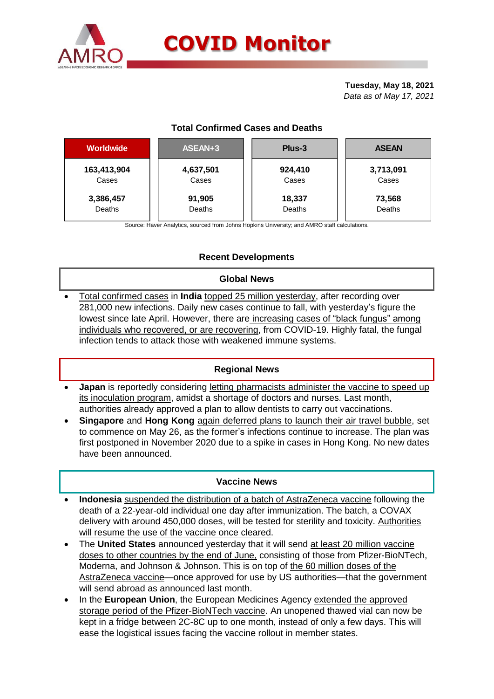

# **COVID Monitor**

**Tuesday, May 18, 2021** *Data as of May 17, 2021*

## **Total Confirmed Cases and Deaths**

| <b>Worldwide</b> | ASEAN+3   | Plus-3  | <b>ASEAN</b> |  |  |
|------------------|-----------|---------|--------------|--|--|
| 163,413,904      | 4,637,501 | 924,410 | 3,713,091    |  |  |
| Cases            | Cases     | Cases   | Cases        |  |  |
| 3,386,457        | 91,905    | 18,337  | 73,568       |  |  |
| Deaths           | Deaths    | Deaths  | Deaths       |  |  |

Source: Haver Analytics, sourced from Johns Hopkins University; and AMRO staff calculations.

# **Recent Developments**

#### **Global News**

 Total confirmed cases in **India** topped 25 million yesterday, after recording over 281,000 new infections. Daily new cases continue to fall, with yesterday's figure the lowest since late April. However, there are increasing cases of "black fungus" among individuals who recovered, or are recovering, from COVID-19. Highly fatal, the fungal infection tends to attack those with weakened immune systems.

## **Regional News**

- **Japan** is reportedly considering letting pharmacists administer the vaccine to speed up its inoculation program, amidst a shortage of doctors and nurses. Last month, authorities already approved a plan to allow dentists to carry out vaccinations.
- **Singapore** and **Hong Kong** again deferred plans to launch their air travel bubble, set to commence on May 26, as the former's infections continue to increase. The plan was first postponed in November 2020 due to a spike in cases in Hong Kong. No new dates have been announced.

#### **Vaccine News**

- **Indonesia** suspended the distribution of a batch of AstraZeneca vaccine following the death of a 22-year-old individual one day after immunization. The batch, a COVAX delivery with around 450,000 doses, will be tested for sterility and toxicity. Authorities will resume the use of the vaccine once cleared.
- The **United States** announced yesterday that it will send at least 20 million vaccine doses to other countries by the end of June, consisting of those from Pfizer-BioNTech, Moderna, and Johnson & Johnson. This is on top of the 60 million doses of the AstraZeneca vaccine—once approved for use by US authorities—that the government will send abroad as announced last month.
- In the **European Union**, the European Medicines Agency extended the approved storage period of the Pfizer-BioNTech vaccine. An unopened thawed vial can now be kept in a fridge between 2C-8C up to one month, instead of only a few days. This will ease the logistical issues facing the vaccine rollout in member states.